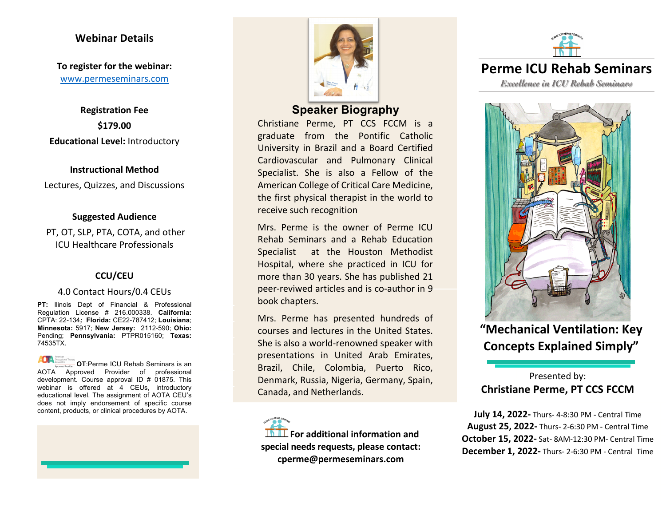#### **Webinar Details**

**To register for the webinar:** www.permeseminars.com

**Registration Fee \$179.00 Educational Level:** Introductory

#### **Instructional Method**

Lectures, Quizzes, and Discussions

#### **Suggested Audience**

PT, OT, SLP, PTA, COTA, and other ICU Healthcare Professionals

#### **CCU/CEU**

#### 4.0 Contact Hours/0.4 CEUs

**PT:** llinois Dept of Financial & Professional Regulation License # 216.000338. **California:** CPTA: 22-134*;* **Florida:** CE22-787412; **Louisiana**; **Minnesota:** 5917; **New Jersey:** 2112-590; **Ohio:** Pending; **Pennsylvania:** PTPR015160; **Texas:**  74535TX.

**OT**:Perme ICU Rehab Seminars is an AOTA Approved Provider of professional development. Course approval ID # 01875. This webinar is offered at 4 CEUs, introductory educational level. The assignment of AOTA CEU's does not imply endorsement of specific course content, products, or clinical procedures by AOTA.





# **Speaker Biography**

Christiane Perme, PT CCS FCCM is a graduate from the Pontific Catholic University in Brazil and a Board Certified Cardiovascular and Pulmonary Clinical Specialist. She is also a Fellow of the American College of Critical Care Medicine, the first physical therapist in the world to receive such recognition

Mrs. Perme is the owner of Perme ICU Rehab Seminars and a Rehab Education Specialist at the Houston Methodist Hospital, where she practiced in ICU for more than 30 years. She has published 21 peer-reviwed articles and is co-author in 9 book chapters.

Mrs. Perme has presented hundreds of courses and lectures in the United States. She is also a world-renowned speaker with presentations in United Arab Emirates, Brazil, Chile, Colombia, Puerto Rico, Denmark, Russia, Nigeria, Germany, Spain, Canada, and Netherlands.

**For additional information and special needs requests, please contact: cperme@permeseminars.com**



**Perme ICU Rehab Seminars**

*Excellence in ICU Rehab Seminars*



**"Mechanical Ventilation: Key Concepts Explained Simply"** 

# Presented by: **Christiane Perme, PT CCS FCCM**

**July 14, 2022-** Thurs- 4-8:30 PM - Central Time **August 25, 2022-** Thurs- 2-6:30 PM - Central Time **October 15, 2022-** Sat- 8AM-12:30 PM- Central Time **December 1, 2022-** Thurs- 2-6:30 PM - Central Time